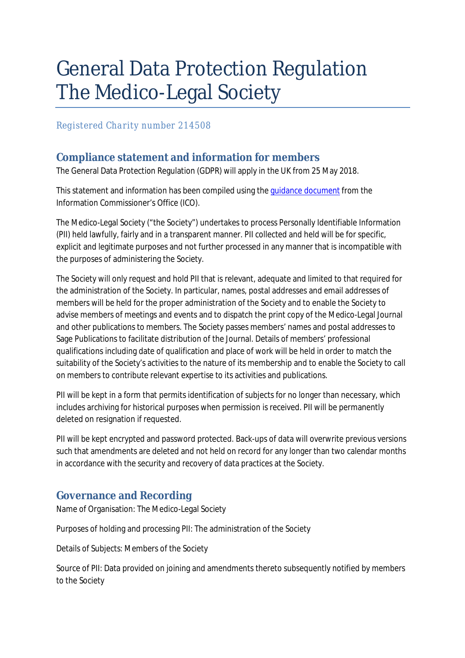# General Data Protection Regulation The Medico-Legal Society

*Registered Charity number 214508* 

## **Compliance statement and information for members**

The General Data Protection Regulation (GDPR) will apply in the UK from 25 May 2018.

This statement and information has been compiled using the guidance document from the Information Commissioner's Office (ICO).

The Medico-Legal Society ("the Society") undertakes to process Personally Identifiable Information (PII) held lawfully, fairly and in a transparent manner. PII collected and held will be for specific, explicit and legitimate purposes and not further processed in any manner that is incompatible with the purposes of administering the Society.

The Society will only request and hold PII that is relevant, adequate and limited to that required for the administration of the Society. In particular, names, postal addresses and email addresses of members will be held for the proper administration of the Society and to enable the Society to advise members of meetings and events and to dispatch the print copy of the Medico-Legal Journal and other publications to members. The Society passes members' names and postal addresses to Sage Publications to facilitate distribution of the Journal. Details of members' professional qualifications including date of qualification and place of work will be held in order to match the suitability of the Society's activities to the nature of its membership and to enable the Society to call on members to contribute relevant expertise to its activities and publications.

PII will be kept in a form that permits identification of subjects for no longer than necessary, which includes archiving for historical purposes when permission is received. PII will be permanently deleted on resignation if requested.

PII will be kept encrypted and password protected. Back-ups of data will overwrite previous versions such that amendments are deleted and not held on record for any longer than two calendar months in accordance with the security and recovery of data practices at the Society.

## **Governance and Recording**

Name of Organisation: The Medico-Legal Society

Purposes of holding and processing PII: The administration of the Society

Details of Subjects: Members of the Society

Source of PII: Data provided on joining and amendments thereto subsequently notified by members to the Society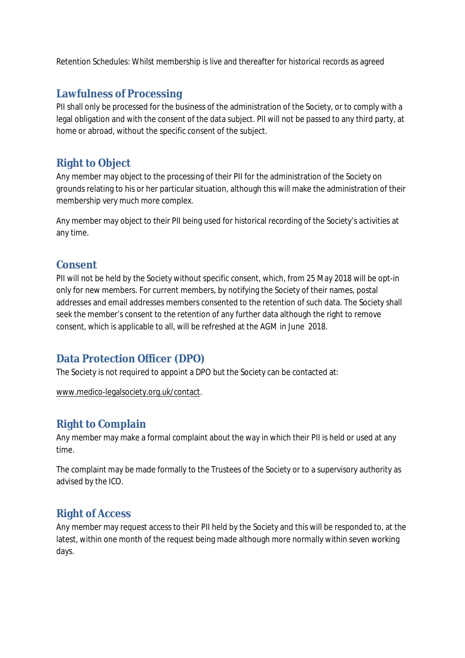Retention Schedules: Whilst membership is live and thereafter for historical records as agreed

## **Lawfulness of Processing**

PII shall only be processed for the business of the administration of the Society, or to comply with a legal obligation and with the consent of the data subject. PII will not be passed to any third party, at home or abroad, without the specific consent of the subject.

#### **Right to Object**

Any member may object to the processing of their PII for the administration of the Society on grounds relating to his or her particular situation, although this will make the administration of their membership very much more complex.

Any member may object to their PII being used for historical recording of the Society's activities at any time.

#### **Consent**

PII will not be held by the Society without specific consent, which, from 25 May 2018 will be opt-in only for new members. For current members, by notifying the Society of their names, postal addresses and email addresses members consented to the retention of such data. The Society shall seek the member's consent to the retention of any further data although the right to remove consent, which is applicable to all, will be refreshed at the AGM in June 2018.

#### **Data Protection Officer (DPO)**

The Society is not required to appoint a DPO but the Society can be contacted at:

[www.medico-legalsociety.org.uk/contact.](http://www.medico-legalsociety.org.uk/contact)

## **Right to Complain**

Any member may make a formal complaint about the way in which their PII is held or used at any time.

The complaint may be made formally to the Trustees of the Society or to a supervisory authority as advised by the ICO.

## **Right of Access**

Any member may request access to their PII held by the Society and this will be responded to, at the latest, within one month of the request being made although more normally within seven working days.